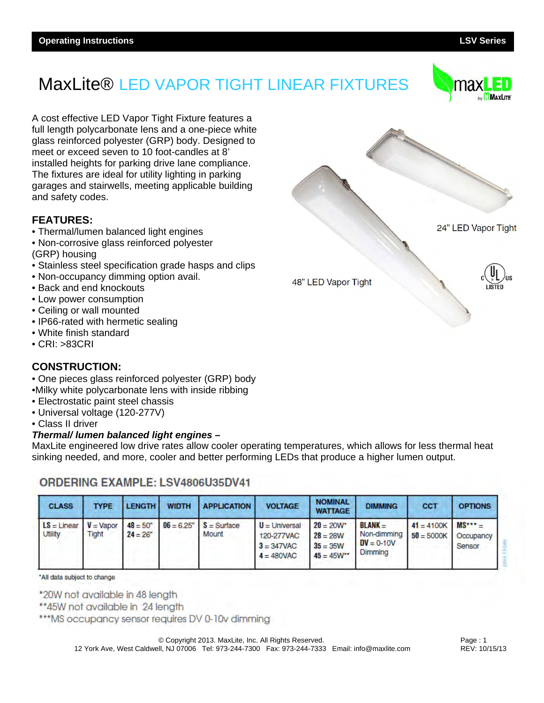

A cost effective LED Vapor Tight Fixture features a full length polycarbonate lens and a one-piece white glass reinforced polyester (GRP) body. Designed to meet or exceed seven to 10 foot-candles at 8' installed heights for parking drive lane compliance. The fixtures are ideal for utility lighting in parking garages and stairwells, meeting applicable building and safety codes.

#### **FEATURES:**

- Thermal/lumen balanced light engines
- Non-corrosive glass reinforced polyester (GRP) housing
- Stainless steel specification grade hasps and clips
- Non-occupancy dimming option avail.
- Back and end knockouts
- Low power consumption
- Ceiling or wall mounted
- IP66-rated with hermetic sealing
- White finish standard
- CRI: >83CRI

#### **CONSTRUCTION:**

- One pieces glass reinforced polyester (GRP) body
- •Milky white polycarbonate lens with inside ribbing
- Electrostatic paint steel chassis
- Universal voltage (120-277V)
- Class II driver

#### *Thermal/ lumen balanced light engines –*

MaxLite engineered low drive rates allow cooler operating temperatures, which allows for less thermal heat sinking needed, and more, cooler and better performing LEDs that produce a higher lumen output.

### ORDERING EXAMPLE: LSV4806U35DV41

| <b>CLASS</b>                    | <b>TYPE</b>          | <b>LENGTH</b>                   | <b>WIDTH</b> | <b>APPLICATION</b>                   | <b>VOLTAGE</b>                                                  | <b>NOMINAL</b><br><b>WATTAGE</b>                            | <b>DIMMING</b>                                      | CCT                          | <b>OPTIONS</b>                   |
|---------------------------------|----------------------|---------------------------------|--------------|--------------------------------------|-----------------------------------------------------------------|-------------------------------------------------------------|-----------------------------------------------------|------------------------------|----------------------------------|
| $LS = Linear$<br><b>Utility</b> | $V =$ Vapor<br>Tight | $48 = 50^{\circ}$<br>$24 = 26"$ |              | $06 = 6.25$ " $S =$ Surface<br>Mount | $U =$ Universal<br>120-277VAC<br>$3 = 347$ VAC<br>$4 = 480$ VAC | $20 = 20W^*$<br>$28 = 28W$<br>$35 = 35W$<br>$45 = 45W^{**}$ | $BLANK =$<br>Non-dimming<br>$DV = 0-10V$<br>Dimming | $41 = 4100K$<br>$50 = 5000K$ | $MS*** =$<br>Occupancy<br>Sensor |

\*All data subject to change

\*20W not available in 48 length

\*\*45W not available in 24 length

\*\*\* MS occupancy sensor requires DV 0-10v dimming

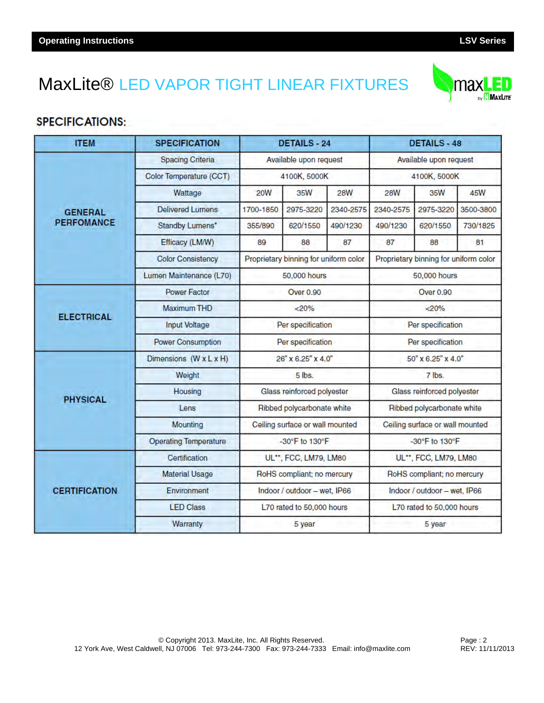**SPECIFICATIONS:** 

**ITEM** 

## MaxLite® LED VAPOR TIGHT LINEAR FIXTURES

**SPECIFICATION** 

|                      | <b>Spacing Criteria</b>      |                                       | Available upon request |            | Available upon request                |           |            |
|----------------------|------------------------------|---------------------------------------|------------------------|------------|---------------------------------------|-----------|------------|
|                      | Color Temperature (CCT)      |                                       | 4100K, 5000K           |            | 4100K, 5000K                          |           |            |
|                      | Wattage                      | <b>20W</b>                            | 35W                    | <b>28W</b> | <b>28W</b>                            | 35W       | <b>45W</b> |
| <b>GENERAL</b>       | <b>Delivered Lumens</b>      | 1700-1850                             | 2975-3220              | 2340-2575  | 2340-2575                             | 2975-3220 | 3500-3800  |
| <b>PERFOMANCE</b>    | Standby Lumens*              | 355/890                               | 620/1550               | 490/1230   | 490/1230                              | 620/1550  | 730/1825   |
|                      | Efficacy (LM/W)              | 89                                    | 88                     | 87         | 87                                    | 88        | 81         |
|                      | <b>Color Consistency</b>     | Proprietary binning for uniform color |                        |            | Proprietary binning for uniform color |           |            |
|                      | Lumen Maintenance (L70)      | 50,000 hours                          |                        |            | 50,000 hours                          |           |            |
|                      | Power Factor                 | Over 0.90                             |                        |            | Over 0.90                             |           |            |
|                      | <b>Maximum THD</b>           | < 20%                                 |                        |            | < 20%                                 |           |            |
| <b>ELECTRICAL</b>    | Input Voltage                | Per specification                     |                        |            | Per specification                     |           |            |
|                      | <b>Power Consumption</b>     | Per specification                     |                        |            | Per specification                     |           |            |
|                      | Dimensions (W x L x H)       | 26" x 6.25" x 4.0"                    |                        |            | 50" x 6.25" x 4.0"                    |           |            |
|                      | Weight                       | $5$ lbs.                              |                        |            | 7 lbs.                                |           |            |
| <b>PHYSICAL</b>      | Housing                      | Glass reinforced polyester            |                        |            | Glass reinforced polyester            |           |            |
|                      | Lens                         | Ribbed polycarbonate white            |                        |            | Ribbed polycarbonate white            |           |            |
|                      | Mounting                     | Ceiling surface or wall mounted       |                        |            | Ceiling surface or wall mounted       |           |            |
|                      | <b>Operating Temperature</b> | -30°F to 130°F                        |                        |            | -30°F to 130°F                        |           |            |
|                      | Certification                | UL**, FCC, LM79, LM80                 |                        |            | UL**, FCC, LM79, LM80                 |           |            |
|                      | <b>Material Usage</b>        | RoHS compliant; no mercury            |                        |            | RoHS compliant; no mercury            |           |            |
| <b>CERTIFICATION</b> | Environment                  | Indoor / outdoor - wet, IP66          |                        |            | Indoor / outdoor - wet. IP66          |           |            |
|                      | <b>LED Class</b>             | L70 rated to 50,000 hours             |                        |            | L70 rated to 50,000 hours             |           |            |
|                      | Warranty                     | 5 year                                |                        |            | 5 year                                |           |            |

**DETAILS - 24** 



**DETAILS - 48**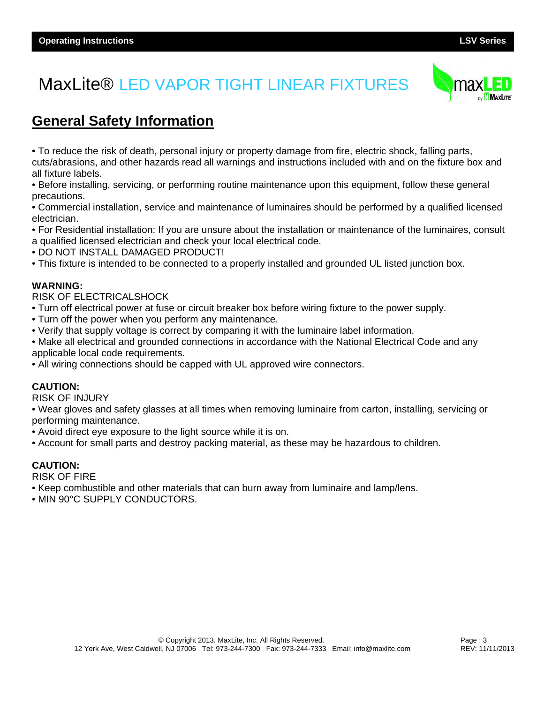

### **General Safety Information**

• To reduce the risk of death, personal injury or property damage from fire, electric shock, falling parts,

cuts/abrasions, and other hazards read all warnings and instructions included with and on the fixture box and all fixture labels.

• Before installing, servicing, or performing routine maintenance upon this equipment, follow these general precautions.

• Commercial installation, service and maintenance of luminaires should be performed by a qualified licensed electrician.

• For Residential installation: If you are unsure about the installation or maintenance of the luminaires, consult a qualified licensed electrician and check your local electrical code.

• DO NOT INSTALL DAMAGED PRODUCT!

• This fixture is intended to be connected to a properly installed and grounded UL listed junction box.

#### **WARNING:**

RISK OF ELECTRICALSHOCK

- Turn off electrical power at fuse or circuit breaker box before wiring fixture to the power supply.
- Turn off the power when you perform any maintenance.
- Verify that supply voltage is correct by comparing it with the luminaire label information.
- Make all electrical and grounded connections in accordance with the National Electrical Code and any applicable local code requirements.
- All wiring connections should be capped with UL approved wire connectors.

#### **CAUTION:**

RISK OF INJURY

• Wear gloves and safety glasses at all times when removing luminaire from carton, installing, servicing or performing maintenance.

• Avoid direct eye exposure to the light source while it is on.

• Account for small parts and destroy packing material, as these may be hazardous to children.

#### **CAUTION:**

RISK OF FIRE

• Keep combustible and other materials that can burn away from luminaire and lamp/lens.

• MIN 90°C SUPPLY CONDUCTORS.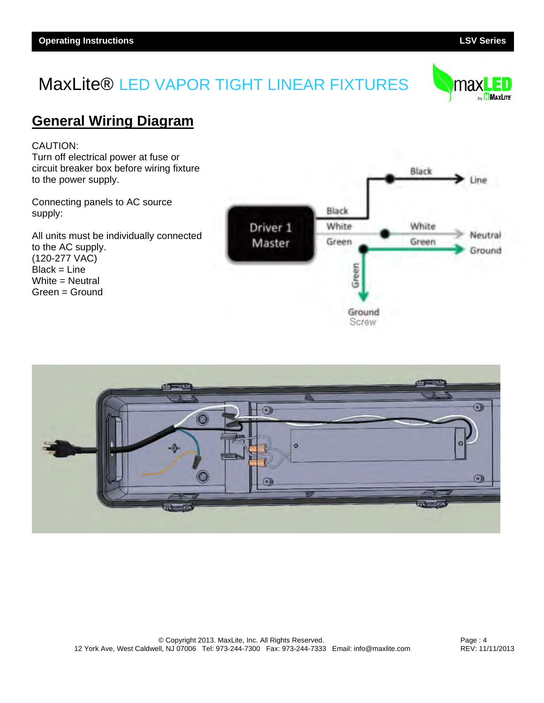

### **General Wiring Diagram**

CAUTION:

Turn off electrical power at fuse or circuit breaker box before wiring fixture to the power supply.

Connecting panels to AC source supply:

All units must be individually connected to the AC supply. (120-277 VAC) Black = Line White = Neutral Green = Ground





Page : 4 REV: 11/11/2013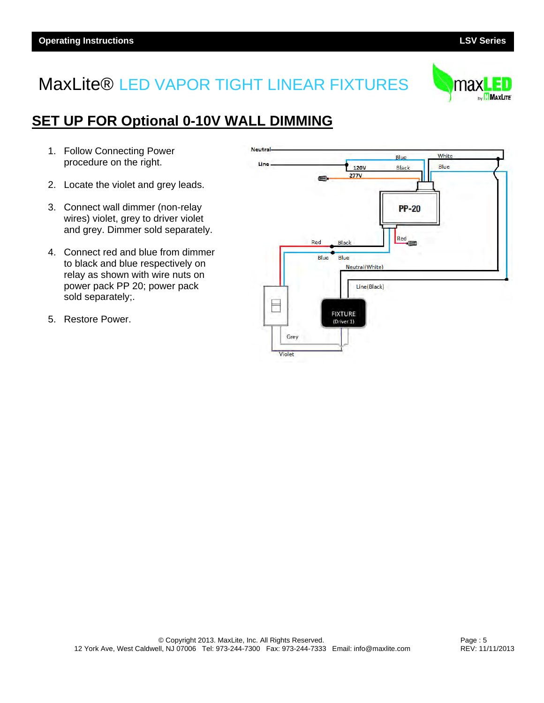

## **SET UP FOR Optional 0-10V WALL DIMMING**

- 1. Follow Connecting Power procedure on the right.
- 2. Locate the violet and grey leads.
- 3. Connect wall dimmer (non-relay wires) violet, grey to driver violet and grey. Dimmer sold separately.
- 4. Connect red and blue from dimmer to black and blue respectively on relay as shown with wire nuts on power pack PP 20; power pack sold separately;.
- 5. Restore Power.

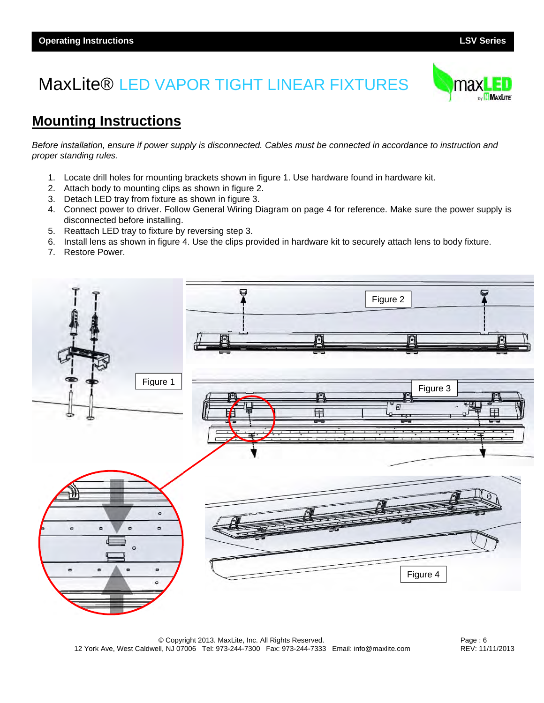

## **Mounting Instructions**

*Before installation, ensure if power supply is disconnected. Cables must be connected in accordance to instruction and proper standing rules.* 

- 1. Locate drill holes for mounting brackets shown in figure 1. Use hardware found in hardware kit.
- 2. Attach body to mounting clips as shown in figure 2.
- 3. Detach LED tray from fixture as shown in figure 3.
- 4. Connect power to driver. Follow General Wiring Diagram on page 4 for reference. Make sure the power supply is disconnected before installing.
- 5. Reattach LED tray to fixture by reversing step 3.
- 6. Install lens as shown in figure 4. Use the clips provided in hardware kit to securely attach lens to body fixture.
- 7. Restore Power.